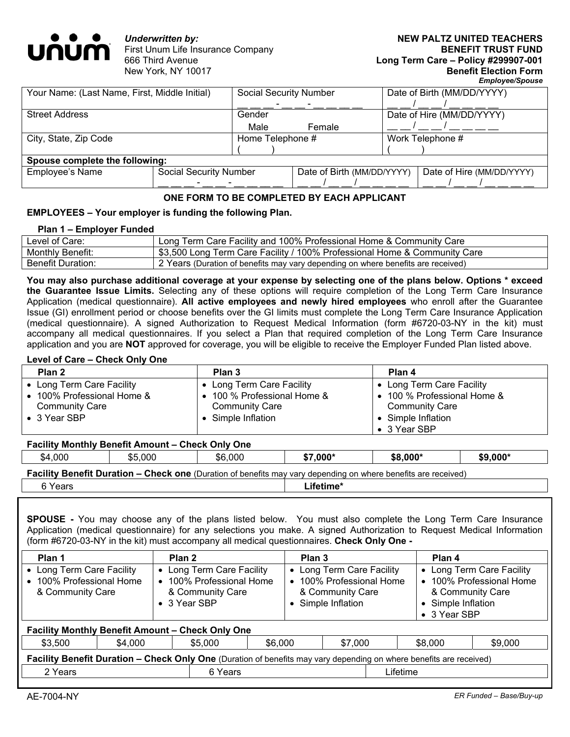

*Underwritten by:*  First Unum Life Insurance Company 666 Third Avenue New York, NY 10017

| Your Name: (Last Name, First, Middle Initial) |                               | <b>Social Security Number</b> |                            |  | Date of Birth (MM/DD/YYYY) |  |
|-----------------------------------------------|-------------------------------|-------------------------------|----------------------------|--|----------------------------|--|
|                                               |                               |                               |                            |  |                            |  |
| <b>Street Address</b>                         |                               | Gender                        |                            |  | Date of Hire (MM/DD/YYYY)  |  |
|                                               |                               | Male                          | Female                     |  |                            |  |
| City, State, Zip Code                         |                               | Home Telephone #              |                            |  | Work Telephone #           |  |
|                                               |                               |                               |                            |  |                            |  |
| Spouse complete the following:                |                               |                               |                            |  |                            |  |
| Employee's Name                               | <b>Social Security Number</b> |                               | Date of Birth (MM/DD/YYYY) |  | Date of Hire (MM/DD/YYYY)  |  |
|                                               |                               |                               |                            |  |                            |  |

# **ONE FORM TO BE COMPLETED BY EACH APPLICANT**

## **EMPLOYEES – Your employer is funding the following Plan.**

#### **Plan 1 – Employer Funded**

| Level of Care:           | Long Term Care Facility and 100% Professional Home & Community Care              |
|--------------------------|----------------------------------------------------------------------------------|
| <b>Monthly Benefit:</b>  | \$3,500 Long Term Care Facility / 100% Professional Home & Community Care        |
| <b>Benefit Duration:</b> | 2 Years (Duration of benefits may vary depending on where benefits are received) |

**You may also purchase additional coverage at your expense by selecting one of the plans below. Options \* exceed the Guarantee Issue Limits.** Selecting any of these options will require completion of the Long Term Care Insurance Application (medical questionnaire). **All active employees and newly hired employees** who enroll after the Guarantee Issue (GI) enrollment period or choose benefits over the GI limits must complete the Long Term Care Insurance Application (medical questionnaire). A signed Authorization to Request Medical Information (form #6720-03-NY in the kit) must accompany all medical questionnaires. If you select a Plan that required completion of the Long Term Care Insurance application and you are **NOT** approved for coverage, you will be eligible to receive the Employer Funded Plan listed above.

#### **Level of Care – Check Only One**

| Plan 2                                              | Plan 3                                               | Plan 4                                             |
|-----------------------------------------------------|------------------------------------------------------|----------------------------------------------------|
| • Long Term Care Facility                           | • Long Term Care Facility                            | Long Term Care Facility                            |
| • 100% Professional Home &<br><b>Community Care</b> | • 100 % Professional Home &<br><b>Community Care</b> | 100 % Professional Home &<br><b>Community Care</b> |
| $\bullet$ 3 Year SBP                                | • Simple Inflation                                   | • Simple Inflation<br>• 3 Year SBP                 |

| <b>Facility Monthly Benefit Amount - Check Only One</b>                                                               |         |         |           |           |           |  |
|-----------------------------------------------------------------------------------------------------------------------|---------|---------|-----------|-----------|-----------|--|
| \$4,000                                                                                                               | \$5,000 | \$6,000 | $$7.000*$ | $$8.000*$ | $$9,000*$ |  |
| <b>Eacility Renafit Duration - Chack one</b> (Duration of benefits may yary depending on where benefits are received) |         |         |           |           |           |  |

**Facility Benefit Duration – Check one** (Duration of benefits may vary depending on where benefits are received)

**6 Years Lifetime\*** 

**SPOUSE -** You may choose any of the plans listed below. You must also complete the Long Term Care Insurance Application (medical questionnaire) for any selections you make. A signed Authorization to Request Medical Information (form #6720-03-NY in the kit) must accompany all medical questionnaires. **Check Only One -** 

| Plan 1<br>• Long Term Care Facility<br>• 100% Professional Home<br>& Community Care                                 |         | Plan 2<br>• 3 Year SBP                                  | • Long Term Care Facility<br>• 100% Professional Home<br>& Community Care |  | Plan 3<br>• Long Term Care Facility<br>• 100% Professional Home<br>& Community Care<br>• Simple Inflation |          | Plan 4<br>• Long Term Care Facility<br>• 100% Professional Home<br>& Community Care<br>• Simple Inflation<br>• 3 Year SBP |         |
|---------------------------------------------------------------------------------------------------------------------|---------|---------------------------------------------------------|---------------------------------------------------------------------------|--|-----------------------------------------------------------------------------------------------------------|----------|---------------------------------------------------------------------------------------------------------------------------|---------|
|                                                                                                                     |         | <b>Facility Monthly Benefit Amount - Check Only One</b> |                                                                           |  |                                                                                                           |          |                                                                                                                           |         |
| \$3,500                                                                                                             | \$4,000 | \$6,000<br>\$5,000                                      |                                                                           |  | \$7,000                                                                                                   |          | \$8,000                                                                                                                   | \$9,000 |
| Facility Benefit Duration - Check Only One (Duration of benefits may vary depending on where benefits are received) |         |                                                         |                                                                           |  |                                                                                                           |          |                                                                                                                           |         |
| 2 Years                                                                                                             |         | 6 Years                                                 |                                                                           |  |                                                                                                           | Lifetime |                                                                                                                           |         |